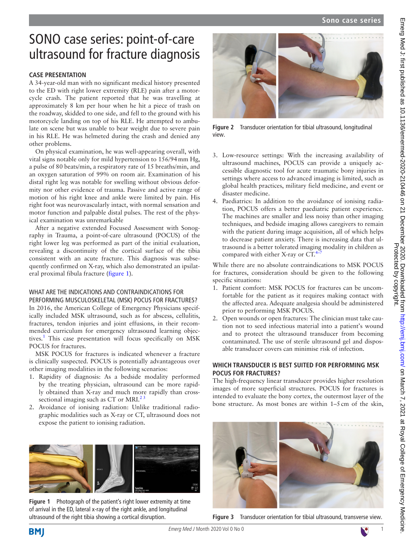# SONO case series: point-of-care ultrasound for fracture diagnosis

# **CASE PRESENTATION**

A 34-year-old man with no significant medical history presented to the ED with right lower extremity (RLE) pain after a motorcycle crash. The patient reported that he was travelling at approximately 8 km per hour when he hit a piece of trash on the roadway, skidded to one side, and fell to the ground with his motorcycle landing on top of his RLE. He attempted to ambulate on scene but was unable to bear weight due to severe pain in his RLE. He was helmeted during the crash and denied any other problems.

On physical examination, he was well-appearing overall, with vital signs notable only for mild hypertension to 156/94mm Hg, a pulse of 80 beats/min, a respiratory rate of 15 breaths/min, and an oxygen saturation of 99% on room air. Examination of his distal right leg was notable for swelling without obvious deformity nor other evidence of trauma. Passive and active range of motion of his right knee and ankle were limited by pain. His right foot was neurovascularly intact, with normal sensation and motor function and palpable distal pulses. The rest of the physical examination was unremarkable

After a negative extended Focused Assessment with Sonography in Trauma, a point-of-care ultrasound (POCUS) of the right lower leg was performed as part of the initial evaluation, revealing a discontinuity of the cortical surface of the tibia consistent with an acute fracture. This diagnosis was subsequently confirmed on X-ray, which also demonstrated an ipsilateral proximal fibula fracture [\(figure](#page-0-0) 1).

# WHAT ARE THE INDICATIONS AND CONTRAINDICATIONS FOR PERFORMING MUSCULOSKELETAL (MSK) POCUS FOR FRACTURES?

In 2016, the American College of Emergency Physicians specifically included MSK ultrasound, such as for abscess, cellulitis, fractures, tendon injuries and joint effusions, in their recommended curriculum for emergency ultrasound learning objec-tives.<sup>[1](#page-2-0)</sup> This case presentation will focus specifically on MSK POCUS for fractures.

MSK POCUS for fractures is indicated whenever a fracture is clinically suspected. POCUS is potentially advantageous over other imaging modalities in the following scenarios:

- 1. Rapidity of diagnosis: As a bedside modality performed by the treating physician, ultrasound can be more rapidly obtained than X-ray and much more rapidly than crosssectional imaging such as CT or MRI. $^{23}$
- 2. Avoidance of ionising radiation: Unlike traditional radiographic modalities such as X-ray or CT, ultrasound does not expose the patient to ionising radiation.

<span id="page-0-0"></span>

**Figure 1** Photograph of the patient's right lower extremity at time of arrival in the ED, lateral x-ray of the right ankle, and longitudinal ultrasound of the right tibia showing a cortical disruption.



**Figure 2** Transducer orientation for tibial ultrasound, longitudinal view.

- <span id="page-0-1"></span>3. Low-resource settings: With the increasing availability of ultrasound machines, POCUS can provide a uniquely accessible diagnostic tool for acute traumatic bony injuries in settings where access to advanced imaging is limited, such as global health practices, military field medicine, and event or disaster medicine.
- 4. Paediatrics: In addition to the avoidance of ionising radiation, POCUS offers a better paediatric patient experience. The machines are smaller and less noisy than other imaging techniques, and bedside imaging allows caregivers to remain with the patient during image acquisition, all of which helps to decrease patient anxiety. There is increasing data that ultrasound is a better tolerated imaging modality in children as compared with either X-ray or  $CT.^{4-7}$

While there are no absolute contraindications to MSK POCUS for fractures, consideration should be given to the following specific situations:

- 1. Patient comfort: MSK POCUS for fractures can be uncomfortable for the patient as it requires making contact with the affected area. Adequate analgesia should be administered prior to performing MSK POCUS.
- 2. Open wounds or open fractures: The clinician must take caution not to seed infectious material into a patient's wound and to protect the ultrasound transducer from becoming contaminated. The use of sterile ultrasound gel and disposable transducer covers can minimise risk of infection.

# **WHICH TRANSDUCER IS BEST SUITED FOR PERFORMING MSK POCUS FOR FRACTURES?**

The high-frequency linear transducer provides higher resolution images of more superficial structures. POCUS for fractures is intended to evaluate the bony cortex, the outermost layer of the bone structure. As most bones are within 1–5cm of the skin,



**Figure 3** Transducer orientation for tibial ultrasound, transverse view.

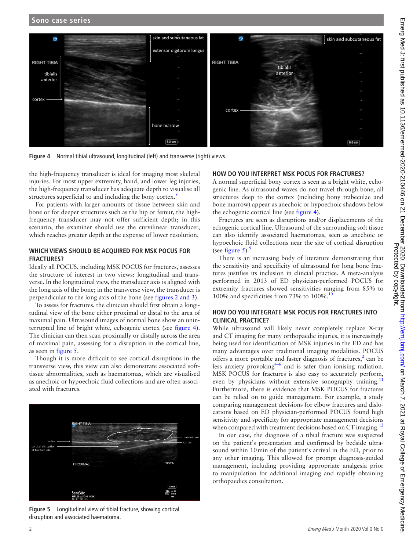

<span id="page-1-0"></span>**Figure 4** Normal tibial ultrasound, longitudinal (left) and transverse (right) views.

the high-frequency transducer is ideal for imaging most skeletal injuries. For most upper extremity, hand, and lower leg injuries, the high-frequency transducer has adequate depth to visualise all structures superficial to and including the bony cortex.<sup>8</sup>

For patients with larger amounts of tissue between skin and bone or for deeper structures such as the hip or femur, the highfrequency transducer may not offer sufficient depth; in this scenario, the examiner should use the curvilinear transducer, which reaches greater depth at the expense of lower resolution.

#### **WHICH VIEWS SHOULD BE ACQUIRED FOR MSK POCUS FOR FRACTURES?**

Ideally all POCUS, including MSK POCUS for fractures, assesses the structure of interest in two views: longitudinal and transverse. In the longitudinal view, the transducer axis is aligned with the long axis of the bone; in the transverse view, the transducer is perpendicular to the long axis of the bone (see figures [2 and 3](#page-0-1)).

To assess for fractures, the clinician should first obtain a longitudinal view of the bone either proximal or distal to the area of maximal pain. Ultrasound images of normal bone show an uninterrupted line of bright white, echogenic cortex (see [figure](#page-1-0) 4). The clinician can then scan proximally or distally across the area of maximal pain, assessing for a disruption in the cortical line, as seen in [figure](#page-1-1) 5.

Though it is more difficult to see cortical disruptions in the transverse view, this view can also demonstrate associated softtissue abnormalities, such as haematomas, which are visualised as anechoic or hypoechoic fluid collections and are often associated with fractures.



<span id="page-1-1"></span>**Figure 5** Longitudinal view of tibial fracture, showing cortical disruption and associated haematoma.

#### **HOW DO YOU INTERPRET MSK POCUS FOR FRACTURES?**

A normal superficial bony cortex is seen as a bright white, echogenic line. As ultrasound waves do not travel through bone, all structures deep to the cortex (including bony trabeculae and bone marrow) appear as anechoic or hypoechoic shadows below the echogenic cortical line (see [figure](#page-1-0) 4).

Fractures are seen as disruptions and/or displacements of the echogenic cortical line. Ultrasound of the surrounding soft tissue can also identify associated haematomas, seen as anechoic or hypoechoic fluid collections near the site of cortical disruption (see [figure](#page-1-1) 5). $9$ 

There is an increasing body of literature demonstrating that the sensitivity and specificity of ultrasound for long bone fractures justifies its inclusion in clincial practice. A meta-analysis performed in 2013 of ED physician-performed POCUS for extremity fractures showed sensitivities ranging from 85% to 100% and specificities from 73% to 100%.[10](#page-2-5)

#### **HOW DO YOU INTEGRATE MSK POCUS FOR FRACTURES INTO CLINICAL PRACTICE?**

While ultrasound will likely never completely replace X-ray and CT imaging for many orthopaedic injuries, it is increasingly being used for identification of MSK injuries in the ED and has many advantages over traditional imaging modalities. POCUS offers a more portable and faster diagnosis of fractures, $2$  can be less anxiety provoking $4-6$  and is safer than ionising radiation. MSK POCUS for fractures is also easy to accurately perform, even by physicians without extensive sonography training.<sup>1</sup> Furthermore, there is evidence that MSK POCUS for fractures can be relied on to guide management. For example, a study comparing management decisions for elbow fractures and dislocations based on ED physician-performed POCUS found high sensitivity and specificity for appropriate management decisions when compared with treatment decisions based on CT imaging.<sup>[12](#page-2-7)</sup>

In our case, the diagnosis of a tibial fracture was suspected on the patient's presentation and confirmed by bedside ultrasound within 10min of the patient's arrival in the ED, prior to any other imaging. This allowed for prompt diagnosis-guided management, including providing appropriate analgesia prior to manipulation for additional imaging and rapidly obtaining orthopaedics consultation.